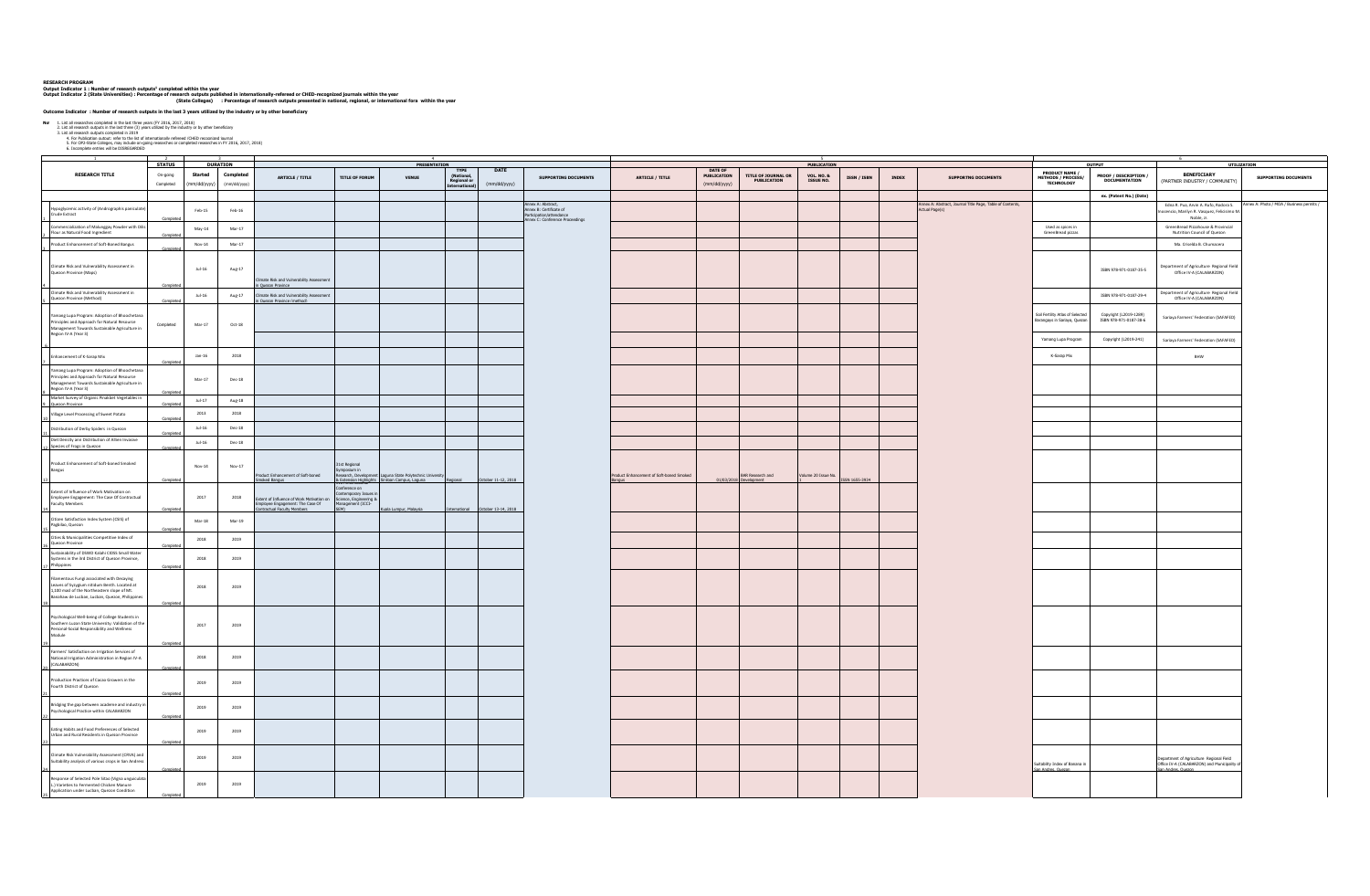## RESEACH PROGRAM<br>Output Indicator 1 : Number of research outputs' completed within the vear<br>Output Indicator 2 (State Universities) : Percentage of research outputs published in intermationally-refereed or CHED-recognized p

| Not 1. List all researchs<br>1. List all researches comoleted in the last three vears (FY 2016, 2017, 2018)<br>2. List all research outouts in the last three (3) vears utilized by the industry or by other beneficiary<br>3. List all research outputs complete<br>4. For Publication output: refer to the list of internationally refereed /CHED recognized iournal<br>5. For OP2-State Collesses, may include on-oxion researches or completed researches in FY 2016. 2017. 2018)<br>6. Incomplete e |                        |                       |                          |                                                                                                                      |                                                                                               |                                                                                       |                                          |                                   |                                                                                                          |                                         |                                        |                                            |                                           |                |              |                                                                             |                                                                         |                                                      |                                                                                                               |                                         |
|----------------------------------------------------------------------------------------------------------------------------------------------------------------------------------------------------------------------------------------------------------------------------------------------------------------------------------------------------------------------------------------------------------------------------------------------------------------------------------------------------------|------------------------|-----------------------|--------------------------|----------------------------------------------------------------------------------------------------------------------|-----------------------------------------------------------------------------------------------|---------------------------------------------------------------------------------------|------------------------------------------|-----------------------------------|----------------------------------------------------------------------------------------------------------|-----------------------------------------|----------------------------------------|--------------------------------------------|-------------------------------------------|----------------|--------------|-----------------------------------------------------------------------------|-------------------------------------------------------------------------|------------------------------------------------------|---------------------------------------------------------------------------------------------------------------|-----------------------------------------|
|                                                                                                                                                                                                                                                                                                                                                                                                                                                                                                          | <b>STATUS</b>          |                       | <b>DURATION</b>          |                                                                                                                      |                                                                                               | PRESENTATION                                                                          |                                          |                                   |                                                                                                          |                                         |                                        |                                            | <b>PUBLICATION</b>                        |                |              |                                                                             |                                                                         | <b>OUTPUT</b>                                        | UTILIZATION                                                                                                   |                                         |
| <b>RESEARCH TITLE</b>                                                                                                                                                                                                                                                                                                                                                                                                                                                                                    | On-gaing<br>Completed  | Started<br>m/dd/yyyy) | Completed<br>(mm/dd/yyyy | ARTICLE / TITLE                                                                                                      | <b>TITLE OF FORUM</b>                                                                         | <b>VENUE</b>                                                                          | <b>TYPE</b><br>(National,<br>Regional or | DATE<br>(mm/dd/yyyy)              | <b>SUPPORTING DOCUMENTS</b>                                                                              | ARTICLE / TITLE                         | DATE OF<br>PUBLICATION<br>(mm/dd/yyyy) | TITLE OF JOURNAL OR<br><b>PUBLICATION</b>  | <b>VOL. NO. &amp;</b><br><b>ISSUE NO.</b> | ISSN / ISBN    | <b>INDEX</b> | <b>SUPPORTNG DOCUMENTS</b>                                                  | PRODUCT NAME /<br>METHODS / PROCESS/<br>TECHNOLOGY                      | <b>PROOF / DESCRIPTION /</b><br><b>DOCUMENTATION</b> | BENEFICIARY<br>(PARTNER INDUSTRY / COMMUNITY)                                                                 | <b>SUPPORTING DOCUMENTS</b>             |
|                                                                                                                                                                                                                                                                                                                                                                                                                                                                                                          |                        |                       |                          |                                                                                                                      |                                                                                               |                                                                                       |                                          |                                   |                                                                                                          |                                         |                                        |                                            |                                           |                |              |                                                                             |                                                                         | ex. (Patent No.) (Date)                              |                                                                                                               |                                         |
| Hypoglycemic activity of (Andrographis paniculate)<br>Crude Extract                                                                                                                                                                                                                                                                                                                                                                                                                                      |                        | $\texttt{Feb-15}$     | $Feb-16$                 |                                                                                                                      |                                                                                               |                                                                                       |                                          |                                   | Annex A: Abstract,<br>Annex B: Certificate of<br>Participation/attendance<br>Annex C: Conference Proceed |                                         |                                        |                                            |                                           |                |              | Annex A: Abstract, Journal Title Page, Table of Contents,<br>Actual Page(s) |                                                                         |                                                      | Edna R. Pua, Arvin A. Rufo, Rodora S.<br>ocencio, Marilyn R. Vasquez, Felicisimo M.<br>Noble, Jr.             | nex A: Photo / MOA / Business permits / |
| Commercialization of Malunggay Powder with Dilis<br>Flour as Natural Food Ingredient                                                                                                                                                                                                                                                                                                                                                                                                                     |                        | $May-14$              | $Mar-17$                 |                                                                                                                      |                                                                                               |                                                                                       |                                          |                                   |                                                                                                          |                                         |                                        |                                            |                                           |                |              |                                                                             | Used as spices in<br>GreenBread pizzas                                  |                                                      | GreenBread Pizzahouse & Provincial<br>Nutrition Council of Quezon                                             |                                         |
| Product Enhancement of Soft-Boned Bangus                                                                                                                                                                                                                                                                                                                                                                                                                                                                 |                        | Nov-14                | $Mar-17$                 |                                                                                                                      |                                                                                               |                                                                                       |                                          |                                   |                                                                                                          |                                         |                                        |                                            |                                           |                |              |                                                                             |                                                                         |                                                      | Ma. Criselda B. Chumacera                                                                                     |                                         |
| Climate Risk and Vulnerability Assessment in<br>Quezon Province (Maps)                                                                                                                                                                                                                                                                                                                                                                                                                                   |                        | $Jul-16$              | Aug-17                   | mate Risk and Vulnerability Assessment<br>uezon Province                                                             |                                                                                               |                                                                                       |                                          |                                   |                                                                                                          |                                         |                                        |                                            |                                           |                |              |                                                                             |                                                                         | ISBN 978-971-0187-35-5                               | Department of Agriculture Regional Field<br>Office IV-A (CALABARZON)                                          |                                         |
| Climate Risk and Vulnerability Assessment in<br>Quezon Province (Method)                                                                                                                                                                                                                                                                                                                                                                                                                                 |                        | $Jul-16$              | Aug-17                   | Climate Risk and Vulnerability Assessment                                                                            |                                                                                               |                                                                                       |                                          |                                   |                                                                                                          |                                         |                                        |                                            |                                           |                |              |                                                                             |                                                                         | ISBN 978-971-0187-29-4                               | epartment of Agriculture Regional Field<br>Office IV-A (CALABARZON)                                           |                                         |
| Yamang Lupa Program: Adoption of Bhoochetana<br>Principles and Approach for Natural Resource<br>Management Towards Sustainable Agriculture in<br>Region IV-A (Year 3)                                                                                                                                                                                                                                                                                                                                    | Completer<br>Completed | $Mar-17$              | $Oct-18$                 | Ouezon Province (method)                                                                                             |                                                                                               |                                                                                       |                                          |                                   |                                                                                                          |                                         |                                        |                                            |                                           |                |              |                                                                             | ioil Fertility Atlas of Selected<br><b>Barangays in Sariaya, Quezon</b> | Copyright (L2019-1289)<br>ISBN 978-971-0187-38-6     | Sariaya Farmers' Federation (SAFAFED)                                                                         |                                         |
|                                                                                                                                                                                                                                                                                                                                                                                                                                                                                                          |                        |                       |                          |                                                                                                                      |                                                                                               |                                                                                       |                                          |                                   |                                                                                                          |                                         |                                        |                                            |                                           |                |              |                                                                             | Yamang Lupa Program                                                     | Copyright (L2019-241)                                | Sariaya Farmers' Federation (SAFAFED)                                                                         |                                         |
| Enhancement of K-Sarap Mix                                                                                                                                                                                                                                                                                                                                                                                                                                                                               |                        | $Jan-16$              | 2018                     |                                                                                                                      |                                                                                               |                                                                                       |                                          |                                   |                                                                                                          |                                         |                                        |                                            |                                           |                |              |                                                                             | K-Sarap Mix                                                             |                                                      | BHW                                                                                                           |                                         |
| Yamang Lupa Program: Adoption of Bhoochetana<br>Principles and Approach for Natural Resource<br>Management Towards Sustainable Agriculture in<br>Region IV-A (Year 3)                                                                                                                                                                                                                                                                                                                                    | Complete               | Mar-17                | $Dec-18$                 |                                                                                                                      |                                                                                               |                                                                                       |                                          |                                   |                                                                                                          |                                         |                                        |                                            |                                           |                |              |                                                                             |                                                                         |                                                      |                                                                                                               |                                         |
| Market Survey of Organic Pinakbet Vegetables in<br>9 Quezon Province                                                                                                                                                                                                                                                                                                                                                                                                                                     | Compl                  | $Jul-17$              | $Aug-18$                 |                                                                                                                      |                                                                                               |                                                                                       |                                          |                                   |                                                                                                          |                                         |                                        |                                            |                                           |                |              |                                                                             |                                                                         |                                                      |                                                                                                               |                                         |
| Village Level Processing of Sweet Potato                                                                                                                                                                                                                                                                                                                                                                                                                                                                 |                        | 2013                  | 2018                     |                                                                                                                      |                                                                                               |                                                                                       |                                          |                                   |                                                                                                          |                                         |                                        |                                            |                                           |                |              |                                                                             |                                                                         |                                                      |                                                                                                               |                                         |
| Distribution of Derby Spiders in Quezon                                                                                                                                                                                                                                                                                                                                                                                                                                                                  | Complete               | Jul-16                | $Dec-18$                 |                                                                                                                      |                                                                                               |                                                                                       |                                          |                                   |                                                                                                          |                                         |                                        |                                            |                                           |                |              |                                                                             |                                                                         |                                                      |                                                                                                               |                                         |
| Diet Density ann Distribution of Allien Invasive<br>Species of Frogs in Quezon                                                                                                                                                                                                                                                                                                                                                                                                                           |                        | $Jul-16$              | $Dec-18$                 |                                                                                                                      |                                                                                               |                                                                                       |                                          |                                   |                                                                                                          |                                         |                                        |                                            |                                           |                |              |                                                                             |                                                                         |                                                      |                                                                                                               |                                         |
| Product Enhancement of Soft-boned Smoked<br>Bangus                                                                                                                                                                                                                                                                                                                                                                                                                                                       |                        | $Nov-14$              | $Now-17$                 | oduct Enhancement of Soft-boned<br>oked Bangus                                                                       | 31st Regional<br>"ymposium in<br>"search, Developm.<br>" <u>ensinn</u> Hiel <sup>ston</sup> " | Laguna State Polytechnic University<br>& Extension Highlights Siniloan Campus, Laguna |                                          | October 11-12, 2018               |                                                                                                          | roduct Enhancement of Soft-boned Smoked |                                        | BAR Research and<br>01/03/2018 Development | Volume 20 Issue No.                       | ISSN 1655-3934 |              |                                                                             |                                                                         |                                                      |                                                                                                               |                                         |
| Extent of Influence of Work Motivation on<br>Employee Engagement: The Case Of Contractual<br><b>Faculty Members</b>                                                                                                                                                                                                                                                                                                                                                                                      | Complete               | 2017                  | 2018                     | Extent of Influence of Work Motivation on<br>molecule of the contraction of the case of<br>molecular faculty Members | Conference on<br>Contemporary Issues in<br>Science, Engineering 8<br>Management (ICCI-        | Gala Lumpur, Malaysia                                                                 |                                          | International October 13-14, 2018 |                                                                                                          |                                         |                                        |                                            |                                           |                |              |                                                                             |                                                                         |                                                      |                                                                                                               |                                         |
| Citizen Satisfaction Index System (CSIS) of<br>Pagbilao, Quezon                                                                                                                                                                                                                                                                                                                                                                                                                                          |                        | Mar-18                | $Mar-19$                 |                                                                                                                      |                                                                                               |                                                                                       |                                          |                                   |                                                                                                          |                                         |                                        |                                            |                                           |                |              |                                                                             |                                                                         |                                                      |                                                                                                               |                                         |
| Cities & Municipalities Competitive Index of<br>Quezon Province<br>Sustainability of DSWD Kalahi CIDSS Small Water                                                                                                                                                                                                                                                                                                                                                                                       |                        | 2018                  | 2019                     |                                                                                                                      |                                                                                               |                                                                                       |                                          |                                   |                                                                                                          |                                         |                                        |                                            |                                           |                |              |                                                                             |                                                                         |                                                      |                                                                                                               |                                         |
| Systems in the 3rd District of Quezon Province,<br>Thilippines                                                                                                                                                                                                                                                                                                                                                                                                                                           |                        | 2018                  | 2019                     |                                                                                                                      |                                                                                               |                                                                                       |                                          |                                   |                                                                                                          |                                         |                                        |                                            |                                           |                |              |                                                                             |                                                                         |                                                      |                                                                                                               |                                         |
| Filamentous Fungi associated with Decaying<br>Leaves of Syzygium nitidum Benth. Located at<br>1,100 masl of the Northeastern slope of Mt.<br>Banahaw de Lucban, Lucban, Quezon, Philippine                                                                                                                                                                                                                                                                                                               |                        | 2018                  | 2019                     |                                                                                                                      |                                                                                               |                                                                                       |                                          |                                   |                                                                                                          |                                         |                                        |                                            |                                           |                |              |                                                                             |                                                                         |                                                      |                                                                                                               |                                         |
| Psychological Well-being of College Students in<br>Southern Luzon State University: Validation of the<br>Personal-Social Responsibility and Wellness<br>Module                                                                                                                                                                                                                                                                                                                                           |                        | 2017                  | 2019                     |                                                                                                                      |                                                                                               |                                                                                       |                                          |                                   |                                                                                                          |                                         |                                        |                                            |                                           |                |              |                                                                             |                                                                         |                                                      |                                                                                                               |                                         |
| Farmers' Satisfaction on Irrigation Services of<br>National Irrigation Administration in Region IV-A<br>(CALABARZON)                                                                                                                                                                                                                                                                                                                                                                                     |                        | 2018                  | 2019                     |                                                                                                                      |                                                                                               |                                                                                       |                                          |                                   |                                                                                                          |                                         |                                        |                                            |                                           |                |              |                                                                             |                                                                         |                                                      |                                                                                                               |                                         |
| Production Practices of Cacao Growers in the<br>Fourth District of Quezon                                                                                                                                                                                                                                                                                                                                                                                                                                |                        | 2019                  | 2019                     |                                                                                                                      |                                                                                               |                                                                                       |                                          |                                   |                                                                                                          |                                         |                                        |                                            |                                           |                |              |                                                                             |                                                                         |                                                      |                                                                                                               |                                         |
| Bridging the gap between academe and industry in<br>Psychological Practice within CALABARZON                                                                                                                                                                                                                                                                                                                                                                                                             |                        | 2019                  | 2019                     |                                                                                                                      |                                                                                               |                                                                                       |                                          |                                   |                                                                                                          |                                         |                                        |                                            |                                           |                |              |                                                                             |                                                                         |                                                      |                                                                                                               |                                         |
| Eating Habits and Food Preferences of Selected<br>Urban and Rural Residents in Quezon Province                                                                                                                                                                                                                                                                                                                                                                                                           |                        | 2019                  | 2019                     |                                                                                                                      |                                                                                               |                                                                                       |                                          |                                   |                                                                                                          |                                         |                                        |                                            |                                           |                |              |                                                                             |                                                                         |                                                      |                                                                                                               |                                         |
| Climate Risk Vulnerability Assessment (CRVA) and<br>Suitability analysis of various crops in San Andress                                                                                                                                                                                                                                                                                                                                                                                                 | Complete               | 2019                  | 2019                     |                                                                                                                      |                                                                                               |                                                                                       |                                          |                                   |                                                                                                          |                                         |                                        |                                            |                                           |                |              |                                                                             | tability Index of Banana in<br>San Andres, Quezon                       |                                                      | epartment of Agriculture Regional Field<br>Office IV-A (CALABARZON) and Municipality of<br>San Andres, Quezon |                                         |
| Response of Selected Pole Sitao (Vigna unguiculata<br>L.) Varieties to Fermented Chicken Manure<br>Application under Lucban, Quezon Condition                                                                                                                                                                                                                                                                                                                                                            |                        | 2019                  | 2019                     |                                                                                                                      |                                                                                               |                                                                                       |                                          |                                   |                                                                                                          |                                         |                                        |                                            |                                           |                |              |                                                                             |                                                                         |                                                      |                                                                                                               |                                         |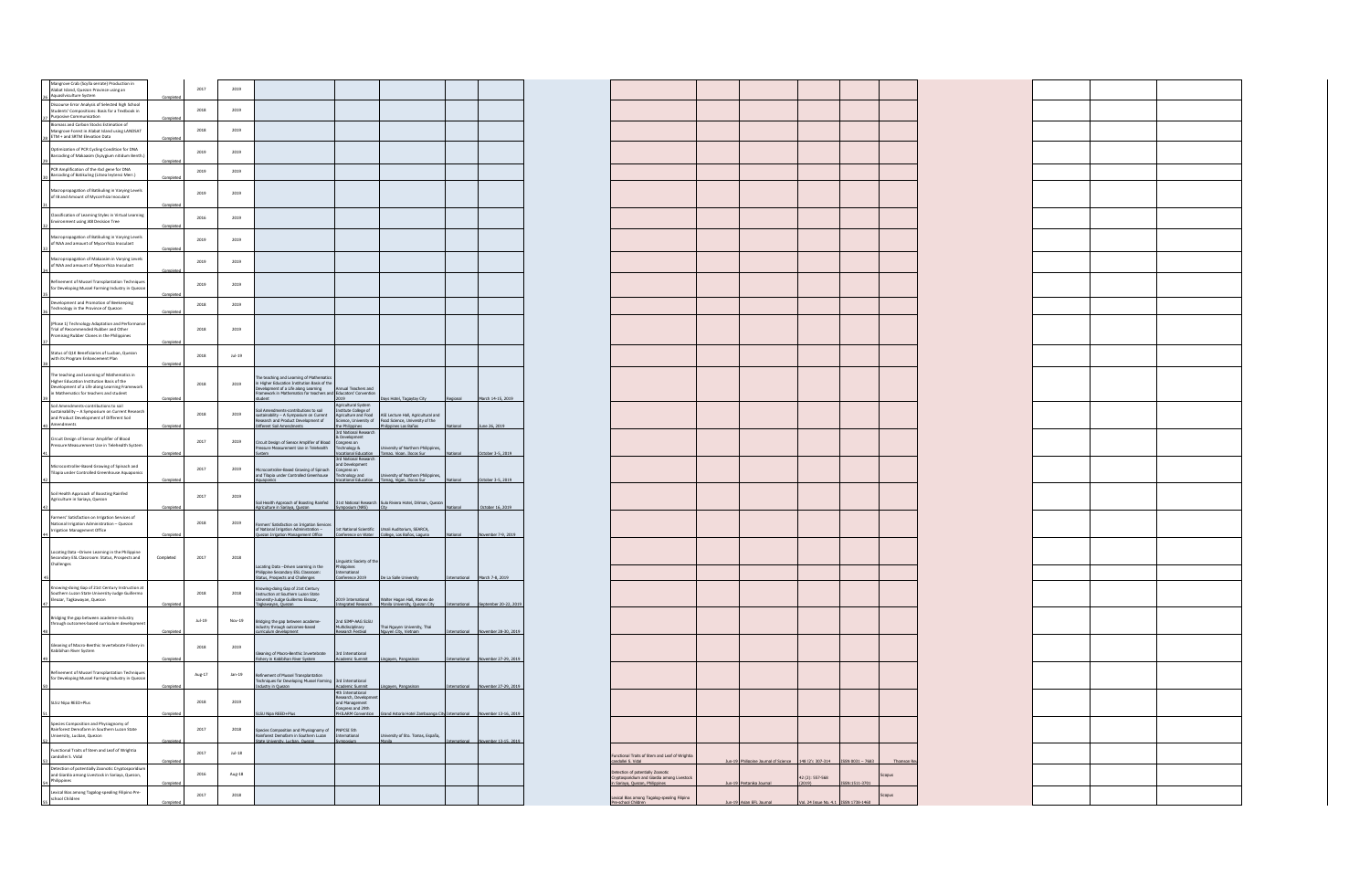| Mangrove Crab (Scylla serrate) Production in<br>Alabat Island, Quezon Province using an                                                                                                                                                                                                                                                                                                                                                                                                                                                                                               |           | 2017     | 2019     |                                                                                                                                                            |                                                                                                          |                                                                                                                                                                                                           |          |                                  |                                                                      |                          |                  |                      |  |  |
|---------------------------------------------------------------------------------------------------------------------------------------------------------------------------------------------------------------------------------------------------------------------------------------------------------------------------------------------------------------------------------------------------------------------------------------------------------------------------------------------------------------------------------------------------------------------------------------|-----------|----------|----------|------------------------------------------------------------------------------------------------------------------------------------------------------------|----------------------------------------------------------------------------------------------------------|-----------------------------------------------------------------------------------------------------------------------------------------------------------------------------------------------------------|----------|----------------------------------|----------------------------------------------------------------------|--------------------------|------------------|----------------------|--|--|
| 26 Aquasilviculture System<br>Discourse Error Analysis of Selected high School<br>Students' Compositions: Basis for a Textbook in                                                                                                                                                                                                                                                                                                                                                                                                                                                     |           | 2018     | 2019     |                                                                                                                                                            |                                                                                                          |                                                                                                                                                                                                           |          |                                  |                                                                      |                          |                  |                      |  |  |
| 27 Purposive Communication<br>Biomass and Carbon Stocks Estimation of<br>Mangrove Forest in Alabat Island using LANDSAT                                                                                                                                                                                                                                                                                                                                                                                                                                                               |           | 2018     | 2019     |                                                                                                                                                            |                                                                                                          |                                                                                                                                                                                                           |          |                                  |                                                                      |                          |                  |                      |  |  |
| 28 ETM + and SRTM Elevation Data<br>Optimization of PCR Cycling Condition for DNA                                                                                                                                                                                                                                                                                                                                                                                                                                                                                                     |           | 2019     | 2019     |                                                                                                                                                            |                                                                                                          |                                                                                                                                                                                                           |          |                                  |                                                                      |                          |                  |                      |  |  |
| Barcoding of Makaasim (Syzygium nitidum Benth.<br>PCR Amplification of the rbcl gene for DNA                                                                                                                                                                                                                                                                                                                                                                                                                                                                                          |           |          |          |                                                                                                                                                            |                                                                                                          |                                                                                                                                                                                                           |          |                                  |                                                                      |                          |                  |                      |  |  |
| Barcoding of Batikuling (Litsea leytensi Merr.)                                                                                                                                                                                                                                                                                                                                                                                                                                                                                                                                       |           | 2019     | 2019     |                                                                                                                                                            |                                                                                                          |                                                                                                                                                                                                           |          |                                  |                                                                      |                          |                  |                      |  |  |
| opropagation of Batikuling in Varying Levels<br>of IB and Amount of Mycorrhiza Inoculant                                                                                                                                                                                                                                                                                                                                                                                                                                                                                              |           | 2019     | 2019     |                                                                                                                                                            |                                                                                                          |                                                                                                                                                                                                           |          |                                  |                                                                      |                          |                  |                      |  |  |
| Classification of Learning Styles in Virtual Learning<br>Environment using J48 Decision Tree                                                                                                                                                                                                                                                                                                                                                                                                                                                                                          |           | 2016     | 2019     |                                                                                                                                                            |                                                                                                          |                                                                                                                                                                                                           |          |                                  |                                                                      |                          |                  |                      |  |  |
| propagation of Batikuling in Varying Levels<br>of NAA and amount of Mycorrhiza Inoculant                                                                                                                                                                                                                                                                                                                                                                                                                                                                                              |           | 2019     | 2019     |                                                                                                                                                            |                                                                                                          |                                                                                                                                                                                                           |          |                                  |                                                                      |                          |                  |                      |  |  |
| Macropropagation of Makaasim in Varying Levels<br>of NAA and amount of Mycorrhiza Inoculant                                                                                                                                                                                                                                                                                                                                                                                                                                                                                           |           | 2019     | 2019     |                                                                                                                                                            |                                                                                                          |                                                                                                                                                                                                           |          |                                  |                                                                      |                          |                  |                      |  |  |
| Refinement of Mussel Transplantation Technique                                                                                                                                                                                                                                                                                                                                                                                                                                                                                                                                        |           | 2019     | 2019     |                                                                                                                                                            |                                                                                                          |                                                                                                                                                                                                           |          |                                  |                                                                      |                          |                  |                      |  |  |
| for Developing Mussel Farming Industry in Quezo<br>$\begin{array}{c} \text{Development and Promotion of Beekeeping} \\ \text{36} \end{array}$                                                                                                                                                                                                                                                                                                                                                                                                                                         |           | 2018     | 2019     |                                                                                                                                                            |                                                                                                          |                                                                                                                                                                                                           |          |                                  |                                                                      |                          |                  |                      |  |  |
|                                                                                                                                                                                                                                                                                                                                                                                                                                                                                                                                                                                       |           |          |          |                                                                                                                                                            |                                                                                                          |                                                                                                                                                                                                           |          |                                  |                                                                      |                          |                  |                      |  |  |
| (Phase 1) Technology Adaptation and Performan<br>Trial of Recommended Rubber and Other<br>Promising Rubber Clones in the Philippines                                                                                                                                                                                                                                                                                                                                                                                                                                                  |           | 2018     | 2019     |                                                                                                                                                            |                                                                                                          |                                                                                                                                                                                                           |          |                                  |                                                                      |                          |                  |                      |  |  |
| Status of Q1K Beneficiaries of Lucban, Quezon<br>with its Program Enhancement Plan                                                                                                                                                                                                                                                                                                                                                                                                                                                                                                    |           | 2018     | $Jul-19$ |                                                                                                                                                            |                                                                                                          |                                                                                                                                                                                                           |          |                                  |                                                                      |                          |                  |                      |  |  |
| The teaching and Learning of Mathematics in<br>Higher Education Institution Basis of the                                                                                                                                                                                                                                                                                                                                                                                                                                                                                              |           | 2018     | 2019     | The teaching and Learning of Mathematics<br>in Higher Education Institution Basis of the                                                                   |                                                                                                          |                                                                                                                                                                                                           |          |                                  |                                                                      |                          |                  |                      |  |  |
| Development of a Life along Learning Framewo<br>in Mathematics for teachers and student                                                                                                                                                                                                                                                                                                                                                                                                                                                                                               |           |          |          | levelopment of a Life along Learning Annual Teachers and<br>ramework in Mathematics for teachers and Educators' Convention                                 | 2019                                                                                                     | is Hotel Tagaytay City                                                                                                                                                                                    |          | Jamh 14-15 2019                  |                                                                      |                          |                  |                      |  |  |
| Soil Amendments-contributions to soil<br>sustainability - A Symposium on Current Research<br>$\begin{minipage}{0.9\linewidth} \textbf{and Product Development of Different Social} \\ \hline \textbf{A} & \textbf{A} & \textbf{A} \\ \hline \textbf{A} & \textbf{A} & \textbf{A} \\ \hline \textbf{A} & \textbf{A} & \textbf{A} \\ \hline \textbf{A} & \textbf{A} & \textbf{A} \\ \hline \textbf{A} & \textbf{A} & \textbf{A} \\ \hline \textbf{A} & \textbf{A} & \textbf{A} \\ \hline \textbf{A} & \textbf{A} & \textbf{A} \\ \hline \textbf{A} & \textbf{A} & \textbf{A} \\ \hline$ |           | 2018     | 2019     | Soil Amendments-contributions to soil<br>sustainability – A Symposium on Current<br>Research and Product Development of<br>Different Soil Amendments       | Agricultural System                                                                                      | Agriculture and Food<br>Agriculture and Food<br>Agriculture Hand ASI Lecture Hall, Agricultural and<br>Science, University of Food Science, University of the<br>the Philippines<br>Dhilippines Los Baños |          |                                  |                                                                      |                          |                  |                      |  |  |
| Circuit Design of Sensor Amplifier of Blood                                                                                                                                                                                                                                                                                                                                                                                                                                                                                                                                           |           | 2017     | 2019     |                                                                                                                                                            | 3rd National Research<br>& Development                                                                   |                                                                                                                                                                                                           | lsno     | June 26, 2019                    |                                                                      |                          |                  |                      |  |  |
| Pressure Measurement Use in Telehealth Syster                                                                                                                                                                                                                                                                                                                                                                                                                                                                                                                                         |           |          |          | Circuit Design of Sensor Amplifier of Blood<br>Pressure Measurement Use in Telehealth Technology &<br>System Vocational Education                          | 3rd National Research                                                                                    | University of Northern Philippines,<br>Tamag, Vigan, Ilocos Sur                                                                                                                                           |          | October 3-5, 2019                |                                                                      |                          |                  |                      |  |  |
| Microcontroller-Based Growing of Spinach and<br>Tilapia under Controlled Greenhouse Aquaponics                                                                                                                                                                                                                                                                                                                                                                                                                                                                                        |           | 2017     | 2019     | and Development<br>Microcontroller-Based Growing of Spinach<br>and Tilapia under Controlled Greenhouse Technology and<br>aponics                           |                                                                                                          | Longress on<br>Technology and University of Northern Philippines,<br>Vocational Education Tamag. Vigan. Ilocos Sur                                                                                        | ional    | October 3-5, 2019                |                                                                      |                          |                  |                      |  |  |
| Soil Health Approach of Boosting Rainfed<br>Agriculture in Sariaya, Quezon                                                                                                                                                                                                                                                                                                                                                                                                                                                                                                            |           | 2017     | 2019     |                                                                                                                                                            |                                                                                                          |                                                                                                                                                                                                           |          |                                  |                                                                      |                          |                  |                      |  |  |
| Farmers' Satisfaction on Irrigation Services of                                                                                                                                                                                                                                                                                                                                                                                                                                                                                                                                       |           |          |          | Soil Health Approach of Boosting Rainfed 31st National Research Sulo Riviera Hotel, Diliman, Quezon<br>Agriculture in Sariava. Quezon Symposium (NRS) City |                                                                                                          |                                                                                                                                                                                                           | National | October 16, 2019                 |                                                                      |                          |                  |                      |  |  |
| National Irrigation Administration - Quezon<br>Irrigation Management Office                                                                                                                                                                                                                                                                                                                                                                                                                                                                                                           |           | 2018     | 2019     | Farmers' Satisfaction on Irrigation Services<br>of National Irrigation Administration -<br>Quezon Irrigation Management Office                             |                                                                                                          | 1st National Scientific Umali Auditorium, SEARCA,<br>Conference on Water College, Los Baños, Laguna                                                                                                       |          | ember 7-9, 2019                  |                                                                      |                          |                  |                      |  |  |
| Locating Data -- Driven Learning in the Philippine<br>Secondary ESL Classroom: Status, Prospects and                                                                                                                                                                                                                                                                                                                                                                                                                                                                                  | Completed | 2017     | 2018     |                                                                                                                                                            |                                                                                                          |                                                                                                                                                                                                           |          |                                  |                                                                      |                          |                  |                      |  |  |
| Challenges                                                                                                                                                                                                                                                                                                                                                                                                                                                                                                                                                                            |           |          |          | Locating Data --Driven Learning in the<br>Philippine Secondary ESL Classroom:<br>Status, Prospects and Challenges                                          | Linguistic Society of the<br>Philippines<br>International<br>Conference 2019                             |                                                                                                                                                                                                           |          |                                  |                                                                      |                          |                  |                      |  |  |
| Knowing-doing Gap of 21st Century Instruction at                                                                                                                                                                                                                                                                                                                                                                                                                                                                                                                                      |           | 2018     | 2018     | Knowing-doing Gap of 21st Century<br>Instruction at Southern Luzon State<br>University-Judge Guillermo Eleazar,                                            |                                                                                                          | De La Sale University                                                                                                                                                                                     |          | nternational March 7-8, 2019     |                                                                      |                          |                  |                      |  |  |
| Southern Luzon State University-Judge Guillermo                                                                                                                                                                                                                                                                                                                                                                                                                                                                                                                                       |           |          |          | awayan, Quezon                                                                                                                                             | 2019 International<br>tegrated Research                                                                  | Walter Hogan Hall, Ateneo de<br>Manila University, Quezon City                                                                                                                                            |          | hber 20-22, 2019                 |                                                                      |                          |                  |                      |  |  |
| Bridging the gap between academe-industry<br>through outcomes-based curriculum developme                                                                                                                                                                                                                                                                                                                                                                                                                                                                                              |           | $Jul-19$ | Nov-19   | Bridging the gap between academe-<br>industry through outcomes-based<br>curriculum development                                                             | 2nd SIMP-AAG SLSU<br>Multidisciplinary<br>Research Festival                                              | Thai Nguyen University, Thai<br>Nguyen City, Vietnam                                                                                                                                                      |          | mber 28-30 2019                  |                                                                      |                          |                  |                      |  |  |
| Gleaning of Macro-Benthic Invertebrate Fishery in<br>Kabibihan River System                                                                                                                                                                                                                                                                                                                                                                                                                                                                                                           |           | 2018     | 2019     |                                                                                                                                                            |                                                                                                          |                                                                                                                                                                                                           |          |                                  |                                                                      |                          |                  |                      |  |  |
| Refinement of Mussel Transplantation Technique                                                                                                                                                                                                                                                                                                                                                                                                                                                                                                                                        |           |          |          | Sleaning of Macro-Benthic Invertebrate<br>Fisherv in Kabibihan River System                                                                                | 3rd International<br>Academic Summit                                                                     | Lingayen, Pangasinan                                                                                                                                                                                      |          | ternational November 27-29, 2019 |                                                                      |                          |                  |                      |  |  |
| for Developing Mussel Farming Industry in Quezor                                                                                                                                                                                                                                                                                                                                                                                                                                                                                                                                      |           | Aug-17   | $Jan-19$ | Refinement of Mussel Transplantation<br>Techniques for Developing Mussel Farming 3rd International<br>Industry in Quezon                                   |                                                                                                          | ven, Pangasinar                                                                                                                                                                                           |          | ember 27-29, 2019                |                                                                      |                          |                  |                      |  |  |
| SLSU Nipa REED+Plus                                                                                                                                                                                                                                                                                                                                                                                                                                                                                                                                                                   |           | 2018     | 2019     |                                                                                                                                                            | 4th International<br>Research, Development<br>and Management<br>Congress and 29th<br>PHILIARM Convention |                                                                                                                                                                                                           |          |                                  |                                                                      |                          |                  |                      |  |  |
| Species Composition and Physiognomy of<br>Rainforest Demofarm in Southern Luzon State<br>University, Lucban, Quezon                                                                                                                                                                                                                                                                                                                                                                                                                                                                   |           | 2017     | 2018     | LSU Nipa REED+Plus<br>Species Composition and Physiognomy of<br>Rainforest Demofarm in Southern Luzon                                                      | PNPCSI 5th<br>International                                                                              | Grand Astoria Hotel Zamboanga City International November 13-16, 2019<br>University of Sto. Tomas, España,                                                                                                |          |                                  |                                                                      |                          |                  |                      |  |  |
| Functional Traits of Stem and Leaf of Wrightia<br>candollei S. Vidal                                                                                                                                                                                                                                                                                                                                                                                                                                                                                                                  |           | 2017     | $Jul-18$ | e University, Lucban, Quezon                                                                                                                               |                                                                                                          |                                                                                                                                                                                                           |          | mber 13-15, 2019                 | nctional Traits of Stem and Leaf of Wrightia                         |                          |                  |                      |  |  |
| Detection of potentially Zoonotic Cryptosporidiu<br>and Giardia among Livestock in Sariaya, Quezon,                                                                                                                                                                                                                                                                                                                                                                                                                                                                                   |           | 2016     | $Aug-18$ |                                                                                                                                                            |                                                                                                          |                                                                                                                                                                                                           |          |                                  | ndollei S. Vidal<br>letection of potentially Zoonotic                | re Iournal of Science    | 148 (2): 307-314 | $-768$               |  |  |
| 54 Philippines<br>Lexical Bias among Tagalog-spealing Filipino Pre-                                                                                                                                                                                                                                                                                                                                                                                                                                                                                                                   |           |          |          |                                                                                                                                                            |                                                                                                          |                                                                                                                                                                                                           |          |                                  | idium and Giardia among Livestock<br>in Sariava, Quezon, Philippines | Jun-19 Pertanika Journal | 42 (2): 557-568  | ISSN:1511-3701       |  |  |
| school Children                                                                                                                                                                                                                                                                                                                                                                                                                                                                                                                                                                       |           | 2017     | 2018     |                                                                                                                                                            |                                                                                                          |                                                                                                                                                                                                           |          |                                  | Lexical Bias among Tagalog-spealing Filipino                         | an FFI 10                | L 24 Issue No. 4 | <b>TCCN 1779-146</b> |  |  |